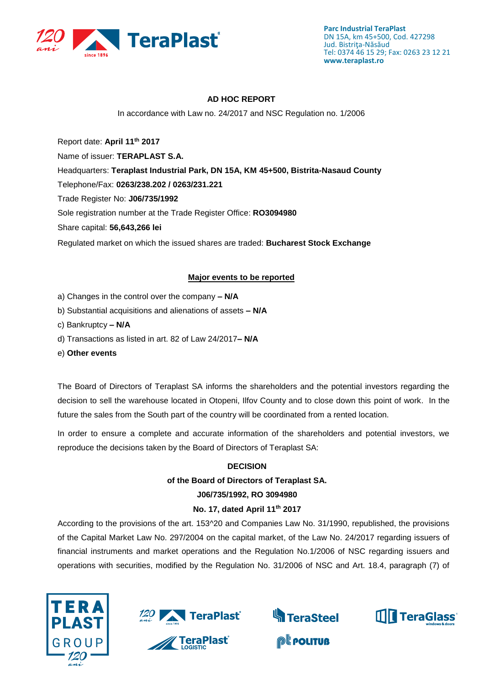

## **AD HOC REPORT**

In accordance with Law no. 24/2017 and NSC Regulation no. 1/2006

Report date: **April 11th 2017** Name of issuer: **TERAPLAST S.A.**  Headquarters: **Teraplast Industrial Park, DN 15A, KM 45+500, Bistrita-Nasaud County** Telephone/Fax: **0263/238.202 / 0263/231.221** Trade Register No: **J06/735/1992** Sole registration number at the Trade Register Office: **RO3094980** Share capital: **56,643,266 lei**  Regulated market on which the issued shares are traded: **Bucharest Stock Exchange**

## **Major events to be reported**

- a) Changes in the control over the company **– N/A**
- b) Substantial acquisitions and alienations of assets **– N/A**
- c) Bankruptcy **– N/A**
- d) Transactions as listed in art. 82 of Law 24/2017**– N/A**
- e) **Other events**

The Board of Directors of Teraplast SA informs the shareholders and the potential investors regarding the decision to sell the warehouse located in Otopeni, Ilfov County and to close down this point of work. In the future the sales from the South part of the country will be coordinated from a rented location.

In order to ensure a complete and accurate information of the shareholders and potential investors, we reproduce the decisions taken by the Board of Directors of Teraplast SA:

#### **DECISION**

#### **of the Board of Directors of Teraplast SA.**

#### **J06/735/1992, RO 3094980**

#### **No. 17, dated April 11th 2017**

According to the provisions of the art. 153^20 and Companies Law No. 31/1990, republished, the provisions of the Capital Market Law No. 297/2004 on the capital market, of the Law No. 24/2017 regarding issuers of financial instruments and market operations and the Regulation No.1/2006 of NSC regarding issuers and operations with securities, modified by the Regulation No. 31/2006 of NSC and Art. 18.4, paragraph (7) of







**@Leouture** 

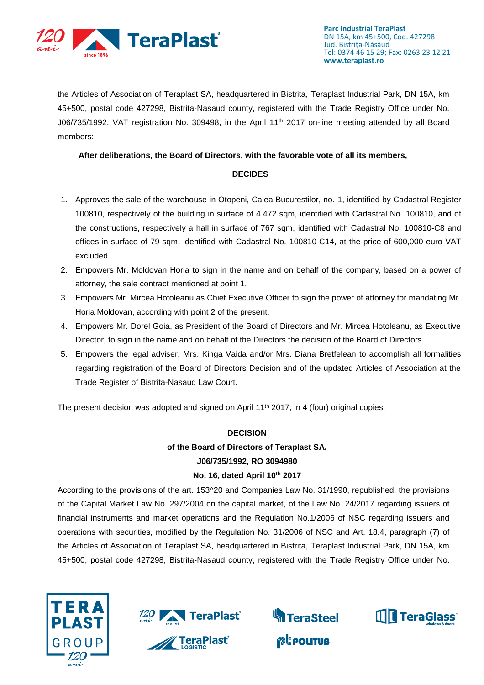

the Articles of Association of Teraplast SA, headquartered in Bistrita, Teraplast Industrial Park, DN 15A, km 45+500, postal code 427298, Bistrita-Nasaud county, registered with the Trade Registry Office under No. J06/735/1992, VAT registration No. 309498, in the April 11<sup>th</sup> 2017 on-line meeting attended by all Board members:

## **After deliberations, the Board of Directors, with the favorable vote of all its members,**

## **DECIDES**

- 1. Approves the sale of the warehouse in Otopeni, Calea Bucurestilor, no. 1, identified by Cadastral Register 100810, respectively of the building in surface of 4.472 sqm, identified with Cadastral No. 100810, and of the constructions, respectively a hall in surface of 767 sqm, identified with Cadastral No. 100810-C8 and offices in surface of 79 sqm, identified with Cadastral No. 100810-C14, at the price of 600,000 euro VAT excluded.
- 2. Empowers Mr. Moldovan Horia to sign in the name and on behalf of the company, based on a power of attorney, the sale contract mentioned at point 1.
- 3. Empowers Mr. Mircea Hotoleanu as Chief Executive Officer to sign the power of attorney for mandating Mr. Horia Moldovan, according with point 2 of the present.
- 4. Empowers Mr. Dorel Goia, as President of the Board of Directors and Mr. Mircea Hotoleanu, as Executive Director, to sign in the name and on behalf of the Directors the decision of the Board of Directors.
- 5. Empowers the legal adviser, Mrs. Kinga Vaida and/or Mrs. Diana Bretfelean to accomplish all formalities regarding registration of the Board of Directors Decision and of the updated Articles of Association at the Trade Register of Bistrita-Nasaud Law Court.

The present decision was adopted and signed on April  $11<sup>th</sup>$  2017, in 4 (four) original copies.

#### **DECISION**

# **of the Board of Directors of Teraplast SA. J06/735/1992, RO 3094980 No. 16, dated April 10th 2017**

According to the provisions of the art. 153^20 and Companies Law No. 31/1990, republished, the provisions of the Capital Market Law No. 297/2004 on the capital market, of the Law No. 24/2017 regarding issuers of financial instruments and market operations and the Regulation No.1/2006 of NSC regarding issuers and operations with securities, modified by the Regulation No. 31/2006 of NSC and Art. 18.4, paragraph (7) of the Articles of Association of Teraplast SA, headquartered in Bistrita, Teraplast Industrial Park, DN 15A, km 45+500, postal code 427298, Bistrita-Nasaud county, registered with the Trade Registry Office under No.







**PEPOLITUB** 

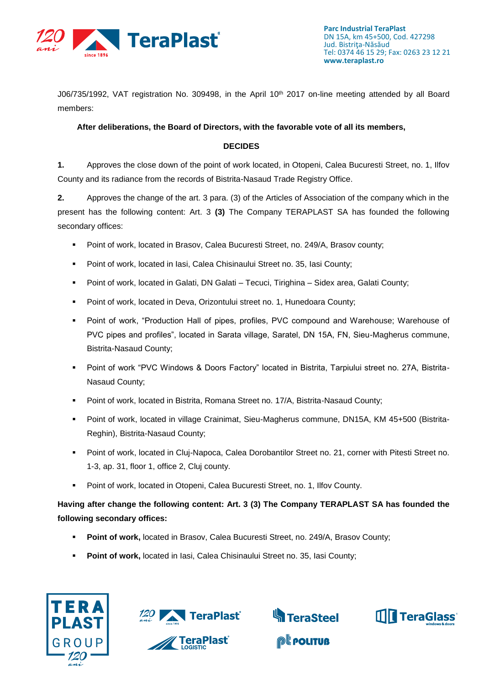

J06/735/1992, VAT registration No. 309498, in the April 10<sup>th</sup> 2017 on-line meeting attended by all Board members:

## **After deliberations, the Board of Directors, with the favorable vote of all its members,**

## **DECIDES**

**1.** Approves the close down of the point of work located, in Otopeni, Calea Bucuresti Street, no. 1, Ilfov County and its radiance from the records of Bistrita-Nasaud Trade Registry Office.

**2.** Approves the change of the art. 3 para. (3) of the Articles of Association of the company which in the present has the following content: Art. 3 **(3)** The Company TERAPLAST SA has founded the following secondary offices:

- Point of work, located in Brasov, Calea Bucuresti Street, no. 249/A, Brasov county;
- Point of work, located in Iasi, Calea Chisinaului Street no. 35, Iasi County;
- Point of work, located in Galati, DN Galati Tecuci, Tirighina Sidex area, Galati County;
- Point of work, located in Deva, Orizontului street no. 1, Hunedoara County;
- Point of work, "Production Hall of pipes, profiles, PVC compound and Warehouse; Warehouse of PVC pipes and profiles", located in Sarata village, Saratel, DN 15A, FN, Sieu-Magherus commune, Bistrita-Nasaud County;
- Point of work "PVC Windows & Doors Factory" located in Bistrita, Tarpiului street no. 27A, Bistrita-Nasaud County;
- Point of work, located in Bistrita, Romana Street no. 17/A, Bistrita-Nasaud County;
- Point of work, located in village Crainimat, Sieu-Magherus commune, DN15A, KM 45+500 (Bistrita-Reghin), Bistrita-Nasaud County;
- Point of work, located in Cluj-Napoca, Calea Dorobantilor Street no. 21, corner with Pitesti Street no. 1-3, ap. 31, floor 1, office 2, Cluj county.
- **Point of work, located in Otopeni, Calea Bucuresti Street, no. 1, Ilfov County.**

**Having after change the following content: Art. 3 (3) The Company TERAPLAST SA has founded the following secondary offices:**

- **Point of work, located in Brasov, Calea Bucuresti Street, no. 249/A, Brasov County;**
- **Point of work, located in Iasi, Calea Chisinaului Street no. 35, Iasi County;**







**@Leouture**